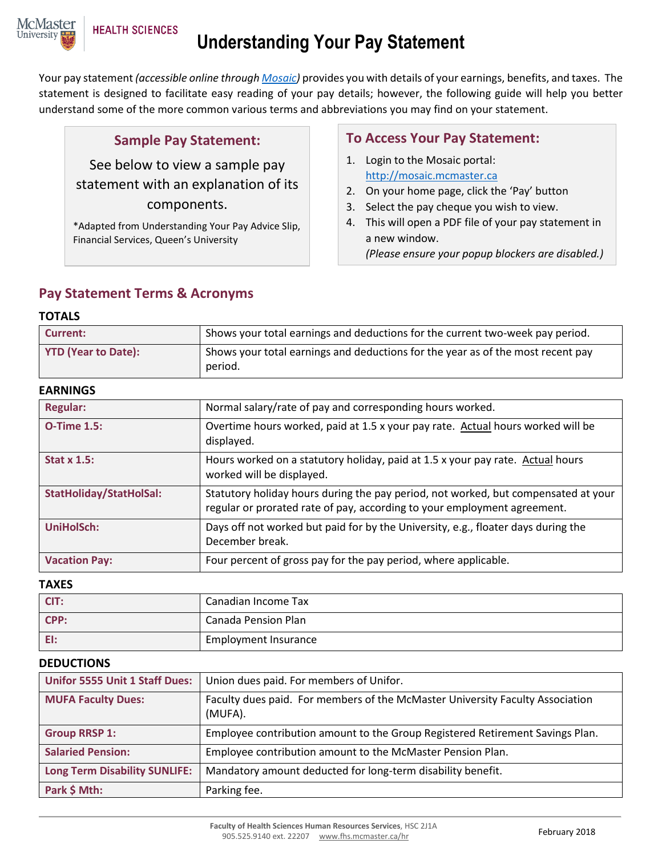

# **Understanding Your Pay Statement**

Your pay statement *(accessible online throug[h Mosaic\)](http://mosaic.mcmaster.ca/)* provides you with details of your earnings, benefits, and taxes. The statement is designed to facilitate easy reading of your pay details; however, the following guide will help you better understand some of the more common various terms and abbreviations you may find on your statement.

#### **Sample Pay Statement:**

See below to view a sample pay statement with an explanation of its components.

\*Adapted from Understanding Your Pay Advice Slip, Financial Services, Queen's University

## **To Access Your Pay Statement:**

- 1. Login to the Mosaic portal: [http://mosaic.mcmaster.ca](http://mosaic.mcmaster.ca/)
- 2. On your home page, click the 'Pay' button
- 3. Select the pay cheque you wish to view.
- 4. This will open a PDF file of your pay statement in a new window.

*(Please ensure your popup blockers are disabled.)*

### **Pay Statement Terms & Acronyms**

#### **TOTALS**

| Current:                   | Shows your total earnings and deductions for the current two-week pay period.              |
|----------------------------|--------------------------------------------------------------------------------------------|
| <b>YTD (Year to Date):</b> | Shows your total earnings and deductions for the year as of the most recent pay<br>period. |

#### **EARNINGS**

| <b>Regular:</b>                | Normal salary/rate of pay and corresponding hours worked.                                                                                                      |  |  |  |  |  |  |
|--------------------------------|----------------------------------------------------------------------------------------------------------------------------------------------------------------|--|--|--|--|--|--|
| <b>O-Time 1.5:</b>             | Overtime hours worked, paid at 1.5 x your pay rate. Actual hours worked will be<br>displayed.                                                                  |  |  |  |  |  |  |
| Stat $x$ 1.5:                  | Hours worked on a statutory holiday, paid at 1.5 x your pay rate. Actual hours<br>worked will be displayed.                                                    |  |  |  |  |  |  |
| <b>StatHoliday/StatHolSal:</b> | Statutory holiday hours during the pay period, not worked, but compensated at your<br>regular or prorated rate of pay, according to your employment agreement. |  |  |  |  |  |  |
| <b>UniHolSch:</b>              | Days off not worked but paid for by the University, e.g., floater days during the<br>December break.                                                           |  |  |  |  |  |  |
| <b>Vacation Pay:</b>           | Four percent of gross pay for the pay period, where applicable.                                                                                                |  |  |  |  |  |  |

#### **TAXES**

| CIT: | Canadian Income Tax         |
|------|-----------------------------|
| CPP: | Canada Pension Plan         |
| EI:  | <b>Employment Insurance</b> |

#### **DEDUCTIONS**

| <b>Unifor 5555 Unit 1 Staff Dues:</b> | Union dues paid. For members of Unifor.                                                  |
|---------------------------------------|------------------------------------------------------------------------------------------|
| <b>MUFA Faculty Dues:</b>             | Faculty dues paid. For members of the McMaster University Faculty Association<br>(MUFA). |
| <b>Group RRSP 1:</b>                  | Employee contribution amount to the Group Registered Retirement Savings Plan.            |
| <b>Salaried Pension:</b>              | Employee contribution amount to the McMaster Pension Plan.                               |
| <b>Long Term Disability SUNLIFE:</b>  | Mandatory amount deducted for long-term disability benefit.                              |
| Park \$ Mth:                          | Parking fee.                                                                             |